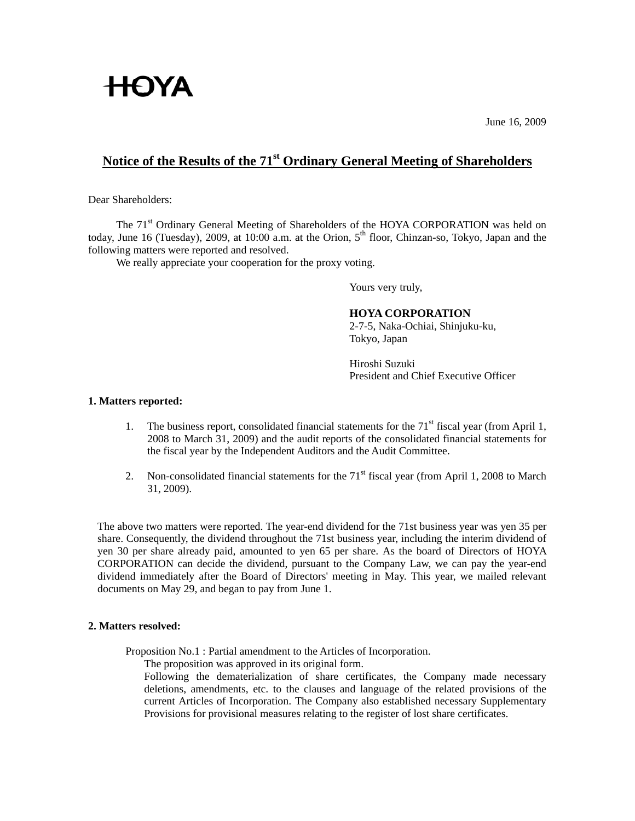# **HOYA**

June 16, 2009

## **Notice of the Results of the 71st Ordinary General Meeting of Shareholders**

Dear Shareholders:

The 71<sup>st</sup> Ordinary General Meeting of Shareholders of the HOYA CORPORATION was held on today, June 16 (Tuesday), 2009, at 10:00 a.m. at the Orion,  $5<sup>th</sup>$  floor, Chinzan-so, Tokyo, Japan and the following matters were reported and resolved.

We really appreciate your cooperation for the proxy voting.

Yours very truly,

### **HOYA CORPORATION**

2-7-5, Naka-Ochiai, Shinjuku-ku, Tokyo, Japan

Hiroshi Suzuki President and Chief Executive Officer

#### **1. Matters reported:**

- 1. The business report, consolidated financial statements for the  $71<sup>st</sup>$  fiscal year (from April 1, 2008 to March 31, 2009) and the audit reports of the consolidated financial statements for the fiscal year by the Independent Auditors and the Audit Committee.
- 2. Non-consolidated financial statements for the  $71<sup>st</sup>$  fiscal year (from April 1, 2008 to March 31, 2009).

 The above two matters were reported. The year-end dividend for the 71st business year was yen 35 per share. Consequently, the dividend throughout the 71st business year, including the interim dividend of yen 30 per share already paid, amounted to yen 65 per share. As the board of Directors of HOYA CORPORATION can decide the dividend, pursuant to the Company Law, we can pay the year-end dividend immediately after the Board of Directors' meeting in May. This year, we mailed relevant documents on May 29, and began to pay from June 1.

#### **2. Matters resolved:**

Proposition No.1 : Partial amendment to the Articles of Incorporation.

The proposition was approved in its original form.

 Following the dematerialization of share certificates, the Company made necessary deletions, amendments, etc. to the clauses and language of the related provisions of the current Articles of Incorporation. The Company also established necessary Supplementary Provisions for provisional measures relating to the register of lost share certificates.